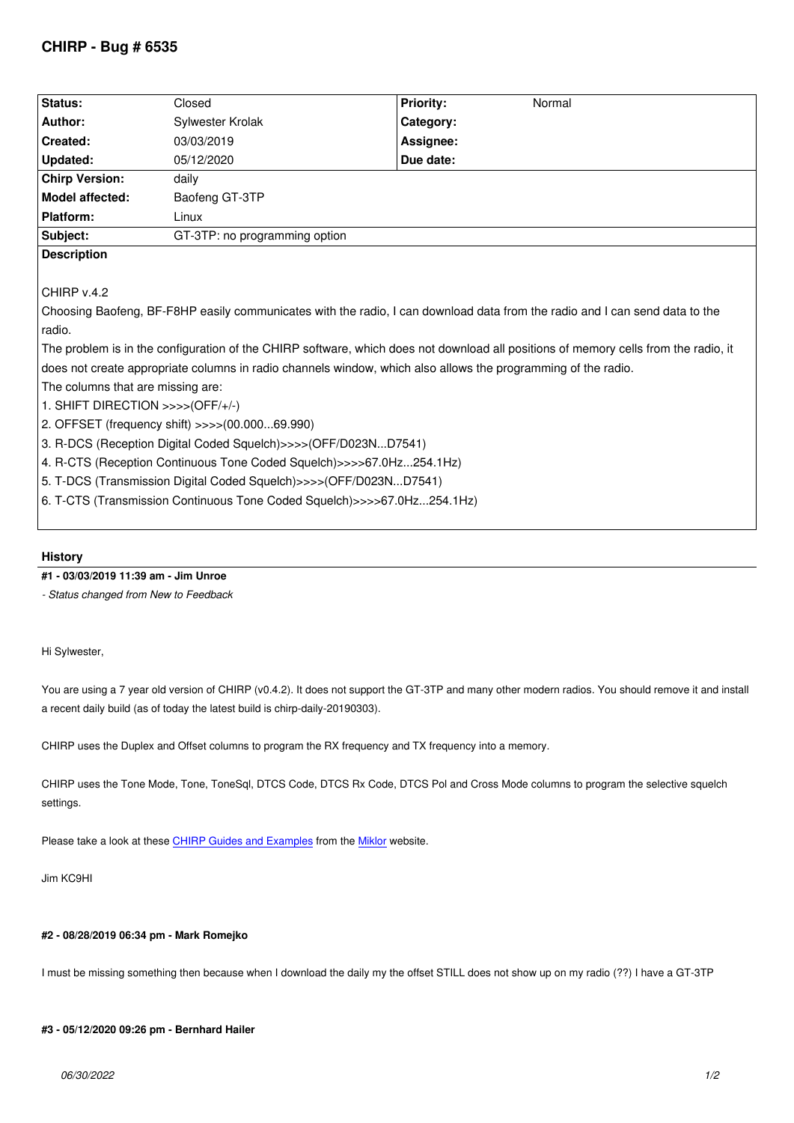| Status:               | Closed                        | <b>Priority:</b> | Normal |
|-----------------------|-------------------------------|------------------|--------|
| Author:               | Sylwester Krolak              | Category:        |        |
| Created:              | 03/03/2019                    | Assignee:        |        |
| Updated:              | 05/12/2020                    | Due date:        |        |
| <b>Chirp Version:</b> | daily                         |                  |        |
| Model affected:       | Baofeng GT-3TP                |                  |        |
| Platform:             | Linux                         |                  |        |
| Subject:              | GT-3TP: no programming option |                  |        |
| <b>Description</b>    |                               |                  |        |

*CHIRP v.4.2*

*Choosing Baofeng, BF-F8HP easily communicates with the radio, I can download data from the radio and I can send data to the radio.*

*The problem is in the configuration of the CHIRP software, which does not download all positions of memory cells from the radio, it does not create appropriate columns in radio channels window, which also allows the programming of the radio. The columns that are missing are:*

*1. SHIFT DIRECTION >>>>(OFF/+/-)*

*2. OFFSET (frequency shift) >>>>(00.000...69.990)*

*3. R-DCS (Reception Digital Coded Squelch)>>>>(OFF/D023N...D7541)*

*4. R-CTS (Reception Continuous Tone Coded Squelch)>>>>67.0Hz...254.1Hz)*

*5. T-DCS (Transmission Digital Coded Squelch)>>>>(OFF/D023N...D7541)*

*6. T-CTS (Transmission Continuous Tone Coded Squelch)>>>>67.0Hz...254.1Hz)*

## **History**

# **#1 - 03/03/2019 11:39 am - Jim Unroe**

*- Status changed from New to Feedback*

# *Hi Sylwester,*

*You are using a 7 year old version of CHIRP (v0.4.2). It does not support the GT-3TP and many other modern radios. You should remove it and install a recent daily build (as of today the latest build is chirp-daily-20190303).*

*CHIRP uses the Duplex and Offset columns to program the RX frequency and TX frequency into a memory.*

*CHIRP uses the Tone Mode, Tone, ToneSql, DTCS Code, DTCS Rx Code, DTCS Pol and Cross Mode columns to program the selective squelch settings.*

*Please take a look at these CHIRP Guides and Examples from the Miklor website.*

*Jim KC9HI*

## **#2 - 08/28/2019 06:34 pm - Mark Romejko**

*I must be missing something then because when I download the daily my the offset STILL does not show up on my radio (??) I have a GT-3TP*

#### **#3 - 05/12/2020 09:26 pm - Bernhard Hailer**